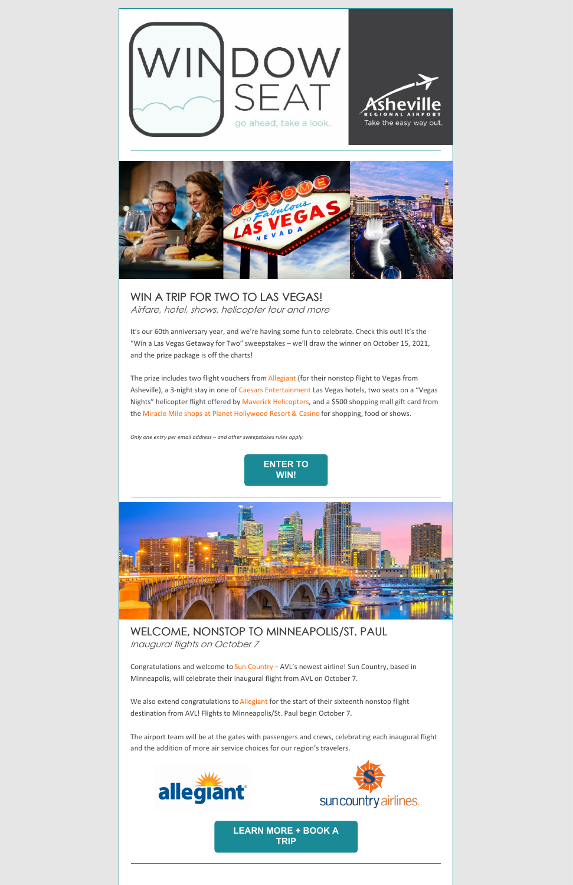



WIN A TRIP FOR TWO TO LAS VEGAS! Airfare, hotel, shows, helicopter tour and more

It's our 60th anniversary year, and we're having some fun to celebrate. Check this out! It's the "Win a Las Vegas Getaway for Two" sweepstakes – we'll draw the winner on October 15, 2021, and the prize package is off the charts!

The prize includes two flight vouchers from [Allegiant](https://www.allegiantair.com/) (for their nonstop flight to Vegas from Asheville), a 3-night stay in one of Caesars [Entertainment](https://www.caesars.com/) Las Vegas hotels, two seats on a "Vegas Nights" helicopter flight offered by Maverick [Helicopters](https://www.maverickhelicopter.com/), and a \$500 shopping mall gift card from the Miracle Mile shops at Planet [Hollywood](https://www.miraclemileshopslv.com/) Resort & Casino for shopping, food or shows.

Congratulations and welcome to Sun [Country](https://www.suncountry.com/) - AVL's newest airline! Sun Country, based in Minneapolis, will celebrate their inaugural flight from AVL on October 7.

We also extend congratulations to [Allegiant](https://www.allegiantair.com/) for the start of their sixteenth nonstop flight destination from AVL! Flights to Minneapolis/St. Paul begin October 7.

*Only one entry per email address – and other sweepstakes rules apply.*





WELCOME, NONSTOP TO MINNEAPOLIS/ST. PAUL Inaugural flights on October 7

The airport team will be at the gates with passengers and crews, celebrating each inaugural flight and the addition of more air service choices for our region's travelers.

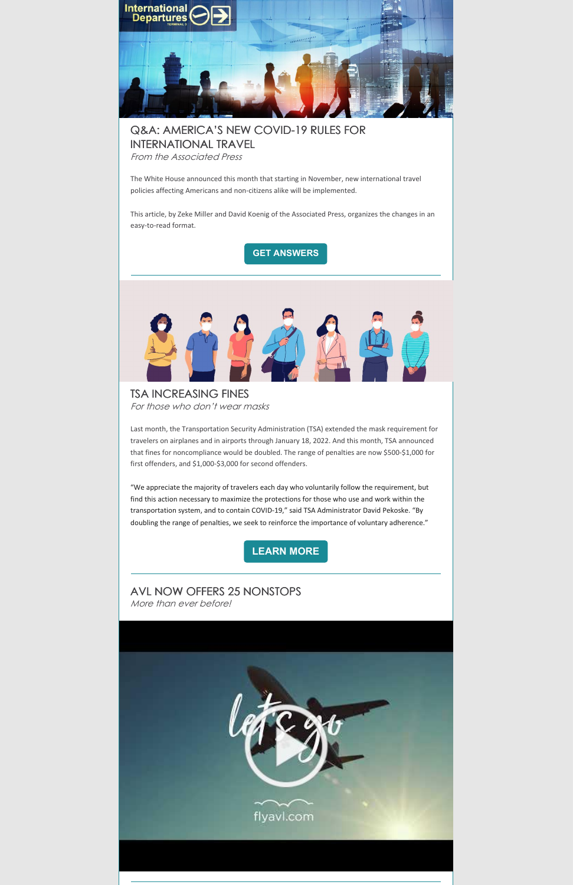

## Q&A: AMERICA'S NEW COVID-19 RULES FOR INTERNATIONAL TRAVEL

From the Associated Press

The White House announced this month that starting in November, new international travel policies affecting Americans and non-citizens alike will be implemented.

This article, by Zeke Miller and David Koenig of the Associated Press, organizes the changes in an easy-to-read format.

**GET [ANSWERS](https://apnews.com/article/lifestyle-business-health-travel-coronavirus-pandemic-b2a584a8b59c9aa08ae8852a30aa253d)**



TSA INCREASING FINES For those who don't wear masks

Last month, the Transportation Security Administration (TSA) extended the mask requirement for travelers on airplanes and in airports through January 18, 2022. And this month, TSA announced that fines for noncompliance would be doubled. The range of penalties are now \$500-\$1,000 for first offenders, and \$1,000-\$3,000 for second offenders.

"We appreciate the majority of travelers each day who voluntarily follow the requirement, but find this action necessary to maximize the protections for those who use and work within the transportation system, and to contain COVID-19," said TSA Administrator David Pekoske. "By doubling the range of penalties, we seek to reinforce the importance of voluntary adherence."

**[LEARN](https://www.tsa.gov/news/press/releases/2021/09/09/dhs-increase-civil-penalties-violations-federal-face-mask) MORE**

## AVL NOW OFFERS 25 NONSTOPS More than ever before!